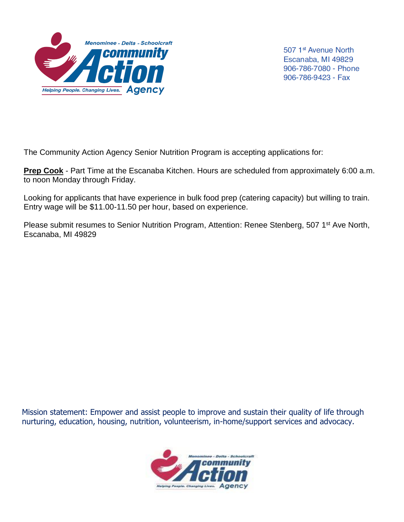

507 1<sup>st</sup> Avenue North Escanaba, MI 49829 906-786-7080 - Phone 906-786-9423 - Fax

The Community Action Agency Senior Nutrition Program is accepting applications for:

**Prep Cook** - Part Time at the Escanaba Kitchen. Hours are scheduled from approximately 6:00 a.m. to noon Monday through Friday.

Looking for applicants that have experience in bulk food prep (catering capacity) but willing to train. Entry wage will be \$11.00-11.50 per hour, based on experience.

Please submit resumes to Senior Nutrition Program, Attention: Renee Stenberg, 507 1<sup>st</sup> Ave North, Escanaba, MI 49829

Mission statement: Empower and assist people to improve and sustain their quality of life through nurturing, education, housing, nutrition, volunteerism, in-home/support services and advocacy.

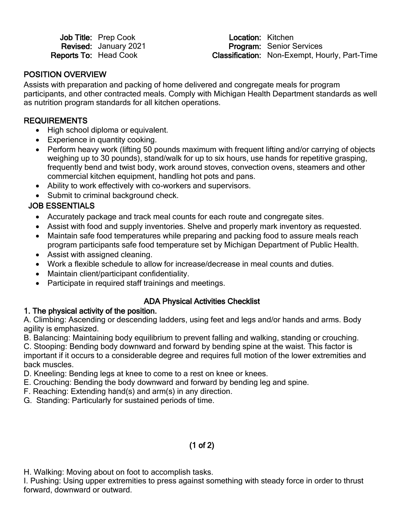| <b>Job Title: Prep Cook</b> |
|-----------------------------|
| Revised: January 2021       |
| Reports To: Head Cook       |

Location: Kitchen Revised: January 2021 **Program:** Senior Services<br>
Reports To: Head Cook **Classification:** Non-Exempt. Ho Classification: Non-Exempt, Hourly, Part-Time

#### POSITION OVERVIEW

Assists with preparation and packing of home delivered and congregate meals for program participants, and other contracted meals. Comply with Michigan Health Department standards as well as nutrition program standards for all kitchen operations.

### **REQUIREMENTS**

- High school diploma or equivalent.
- Experience in quantity cooking.
- Perform heavy work (lifting 50 pounds maximum with frequent lifting and/or carrying of objects weighing up to 30 pounds), stand/walk for up to six hours, use hands for repetitive grasping, frequently bend and twist body, work around stoves, convection ovens, steamers and other commercial kitchen equipment, handling hot pots and pans.
- Ability to work effectively with co-workers and supervisors.
- Submit to criminal background check.

# JOB ESSENTIALS

- Accurately package and track meal counts for each route and congregate sites.
- Assist with food and supply inventories. Shelve and properly mark inventory as requested.
- Maintain safe food temperatures while preparing and packing food to assure meals reach program participants safe food temperature set by Michigan Department of Public Health.
- Assist with assigned cleaning.
- Work a flexible schedule to allow for increase/decrease in meal counts and duties.
- Maintain client/participant confidentiality.
- Participate in required staff trainings and meetings.

## ADA Physical Activities Checklist

## 1. The physical activity of the position.

A. Climbing: Ascending or descending ladders, using feet and legs and/or hands and arms. Body agility is emphasized.

B. Balancing: Maintaining body equilibrium to prevent falling and walking, standing or crouching. C. Stooping: Bending body downward and forward by bending spine at the waist. This factor is important if it occurs to a considerable degree and requires full motion of the lower extremities and

back muscles.

- D. Kneeling: Bending legs at knee to come to a rest on knee or knees.
- E. Crouching: Bending the body downward and forward by bending leg and spine.
- F. Reaching: Extending hand(s) and arm(s) in any direction.
- G. Standing: Particularly for sustained periods of time.

# (1 of 2)

H. Walking: Moving about on foot to accomplish tasks.

I. Pushing: Using upper extremities to press against something with steady force in order to thrust forward, downward or outward.